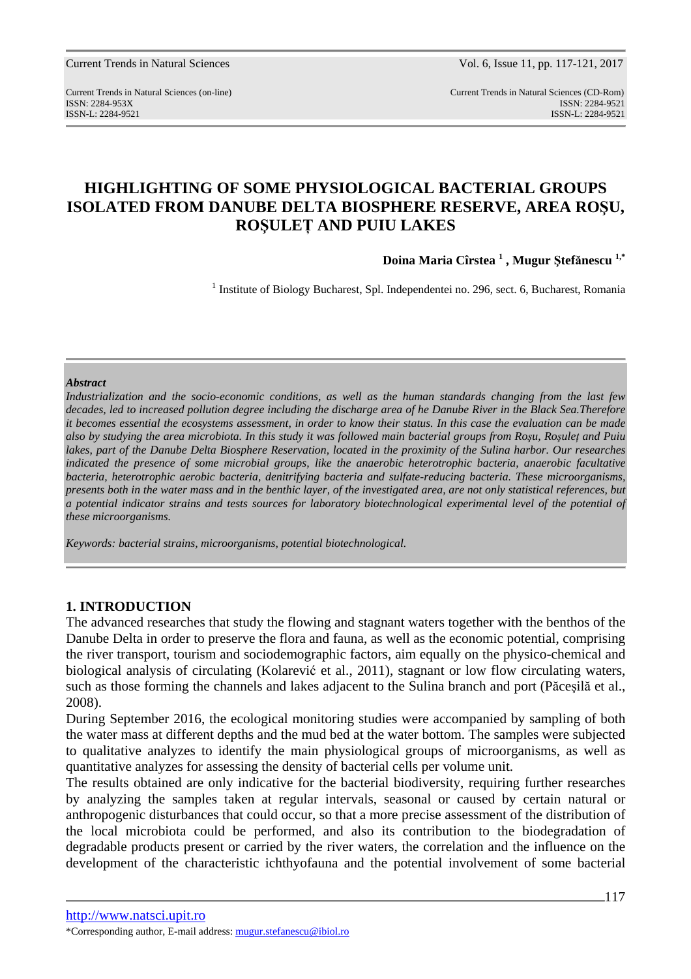Current Trends in Natural Sciences Vol. 6, Issue 11, pp. 117-121, 2017

Current Trends in Natural Sciences (on-line) Current Trends in Natural Sciences (CD-Rom) ISSN: 2284-953XISSN: 2284-9521 ISSN-L: 2284-9521 ISSN-L: 2284-9521

# **HIGHLIGHTING OF SOME PHYSIOLOGICAL BACTERIAL GROUPS ISOLATED FROM DANUBE DELTA BIOSPHERE RESERVE, AREA ROŞU, ROŞULEŢ AND PUIU LAKES**

**Doina Maria Cîrstea <sup>1</sup> , Mugur Ştefănescu 1,\***

<sup>1</sup> Institute of Biology Bucharest, Spl. Independentei no. 296, sect. 6, Bucharest, Romania

#### *Abstract*

*Industrialization and the socio-economic conditions, as well as the human standards changing from the last few decades, led to increased pollution degree including the discharge area of he Danube River in the Black Sea.Therefore it becomes essential the ecosystems assessment, in order to know their status. In this case the evaluation can be made also by studying the area microbiota. In this study it was followed main bacterial groups from Roşu, Roşuleţ and Puiu*  lakes, part of the Danube Delta Biosphere Reservation, located in the proximity of the Sulina harbor. Our researches *indicated the presence of some microbial groups, like the anaerobic heterotrophic bacteria, anaerobic facultative bacteria, heterotrophic aerobic bacteria, denitrifying bacteria and sulfate-reducing bacteria. These microorganisms, presents both in the water mass and in the benthic layer, of the investigated area, are not only statistical references, but a potential indicator strains and tests sources for laboratory biotechnological experimental level of the potential of these microorganisms.* 

*Keywords: bacterial strains, microorganisms, potential biotechnological.* 

### **1. INTRODUCTION**

The advanced researches that study the flowing and stagnant waters together with the benthos of the Danube Delta in order to preserve the flora and fauna, as well as the economic potential, comprising the river transport, tourism and sociodemographic factors, aim equally on the physico-chemical and biological analysis of circulating (Kolarević et al., 2011), stagnant or low flow circulating waters, such as those forming the channels and lakes adjacent to the Sulina branch and port (Păceşilă et al., 2008).

During September 2016, the ecological monitoring studies were accompanied by sampling of both the water mass at different depths and the mud bed at the water bottom. The samples were subjected to qualitative analyzes to identify the main physiological groups of microorganisms, as well as quantitative analyzes for assessing the density of bacterial cells per volume unit.

The results obtained are only indicative for the bacterial biodiversity, requiring further researches by analyzing the samples taken at regular intervals, seasonal or caused by certain natural or anthropogenic disturbances that could occur, so that a more precise assessment of the distribution of the local microbiota could be performed, and also its contribution to the biodegradation of degradable products present or carried by the river waters, the correlation and the influence on the development of the characteristic ichthyofauna and the potential involvement of some bacterial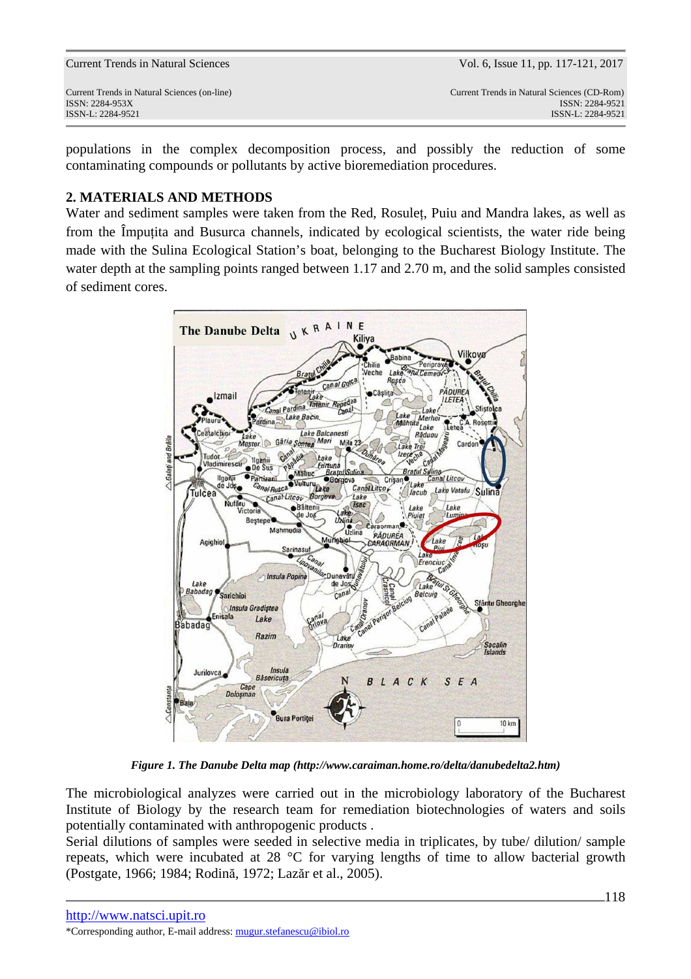populations in the complex decomposition process, and possibly the reduction of some contaminating compounds or pollutants by active bioremediation procedures.

## **2. MATERIALS AND METHODS**

Water and sediment samples were taken from the Red, Rosuleţ, Puiu and Mandra lakes, as well as from the Împuţita and Busurca channels, indicated by ecological scientists, the water ride being made with the Sulina Ecological Station's boat, belonging to the Bucharest Biology Institute. The water depth at the sampling points ranged between 1.17 and 2.70 m, and the solid samples consisted of sediment cores.



*Figure 1. The Danube Delta map (http://www.caraiman.home.ro/delta/danubedelta2.htm)* 

The microbiological analyzes were carried out in the microbiology laboratory of the Bucharest Institute of Biology by the research team for remediation biotechnologies of waters and soils potentially contaminated with anthropogenic products .

Serial dilutions of samples were seeded in selective media in triplicates, by tube/ dilution/ sample repeats, which were incubated at 28 °C for varying lengths of time to allow bacterial growth (Postgate, 1966; 1984; Rodină, 1972; Lazăr et al., 2005).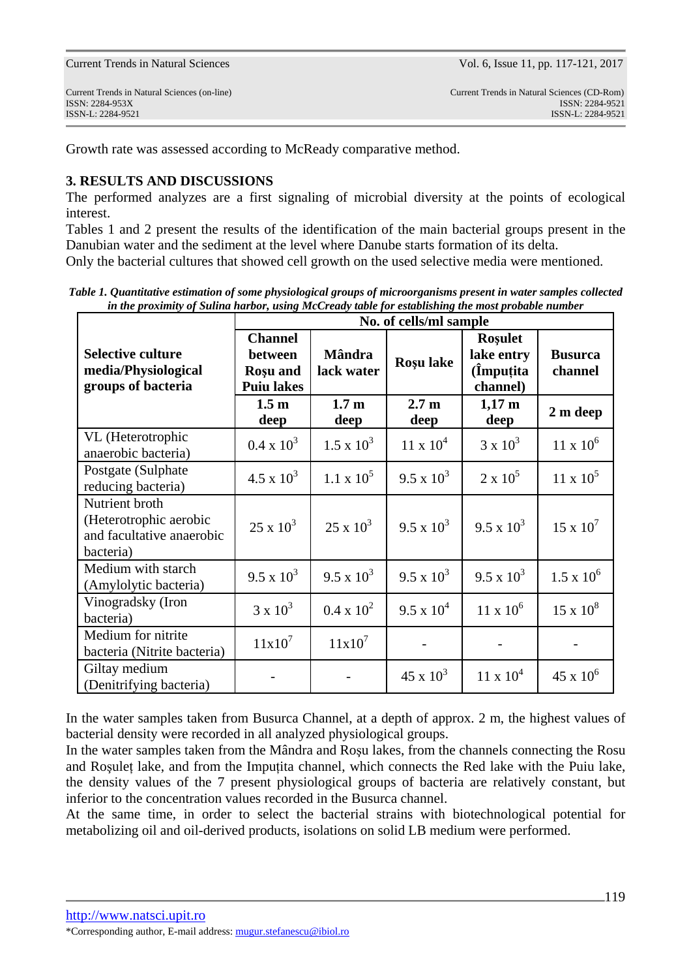Growth rate was assessed according to McReady comparative method.

### **3. RESULTS AND DISCUSSIONS**

The performed analyzes are a first signaling of microbial diversity at the points of ecological interest.

Tables 1 and 2 present the results of the identification of the main bacterial groups present in the Danubian water and the sediment at the level where Danube starts formation of its delta.

Only the bacterial cultures that showed cell growth on the used selective media were mentioned.

*Table 1. Quantitative estimation of some physiological groups of microorganisms present in water samples collected in the proximity of Sulina harbor, using McCready table for establishing the most probable number* 

|                                                                                    | No. of cells/ml sample                                            |                             |                          |                                                       |                           |  |
|------------------------------------------------------------------------------------|-------------------------------------------------------------------|-----------------------------|--------------------------|-------------------------------------------------------|---------------------------|--|
| <b>Selective culture</b><br>media/Physiological<br>groups of bacteria              | <b>Channel</b><br>between<br><b>Rosu</b> and<br><b>Puiu lakes</b> | <b>Mândra</b><br>lack water | Roșu lake                | <b>Rosulet</b><br>lake entry<br>(Impuțita<br>channel) | <b>Busurca</b><br>channel |  |
|                                                                                    | 1.5 <sub>m</sub><br>deep                                          | 1.7 <sub>m</sub><br>deep    | 2.7 <sub>m</sub><br>deep | $1,17 \; \text{m}$<br>deep                            | 2 m deep                  |  |
| VL (Heterotrophic<br>anaerobic bacteria)                                           | $0.4 \times 10^3$                                                 | $1.5 \times 10^3$           | $11 \times 10^4$         | $3 \times 10^3$                                       | $11 \times 10^6$          |  |
| Postgate (Sulphate<br>reducing bacteria)                                           | $4.5 \times 10^3$                                                 | $1.1 \times 10^5$           | $9.5 \times 10^3$        | $2 \times 10^5$                                       | $11 \times 10^5$          |  |
| Nutrient broth<br>(Heterotrophic aerobic<br>and facultative anaerobic<br>bacteria) | $25 \times 10^3$                                                  | $25 \times 10^3$            | $9.5 \times 10^3$        | $9.5 \times 10^3$                                     | $15 \times 10^7$          |  |
| Medium with starch<br>(Amylolytic bacteria)                                        | $9.5 \times 10^3$                                                 | $9.5 \times 10^3$           | $9.5 \times 10^3$        | $9.5 \times 10^3$                                     | $1.5 \times 10^6$         |  |
| Vinogradsky (Iron<br>bacteria)                                                     | $3 \times 10^3$                                                   | $0.4 \times 10^2$           | $9.5 \times 10^4$        | $11 \times 10^6$                                      | $15 \times 10^8$          |  |
| Medium for nitrite<br>bacteria (Nitrite bacteria)                                  | $11x10^7$                                                         | $11x10^7$                   |                          |                                                       |                           |  |
| Giltay medium<br>(Denitrifying bacteria)                                           |                                                                   |                             | $45 \times 10^3$         | $11 \times 10^4$                                      | $45 \times 10^6$          |  |

In the water samples taken from Busurca Channel, at a depth of approx. 2 m, the highest values of bacterial density were recorded in all analyzed physiological groups.

In the water samples taken from the Mândra and Roşu lakes, from the channels connecting the Rosu and Roşuleţ lake, and from the Impuţita channel, which connects the Red lake with the Puiu lake, the density values of the 7 present physiological groups of bacteria are relatively constant, but inferior to the concentration values recorded in the Busurca channel.

At the same time, in order to select the bacterial strains with biotechnological potential for metabolizing oil and oil-derived products, isolations on solid LB medium were performed.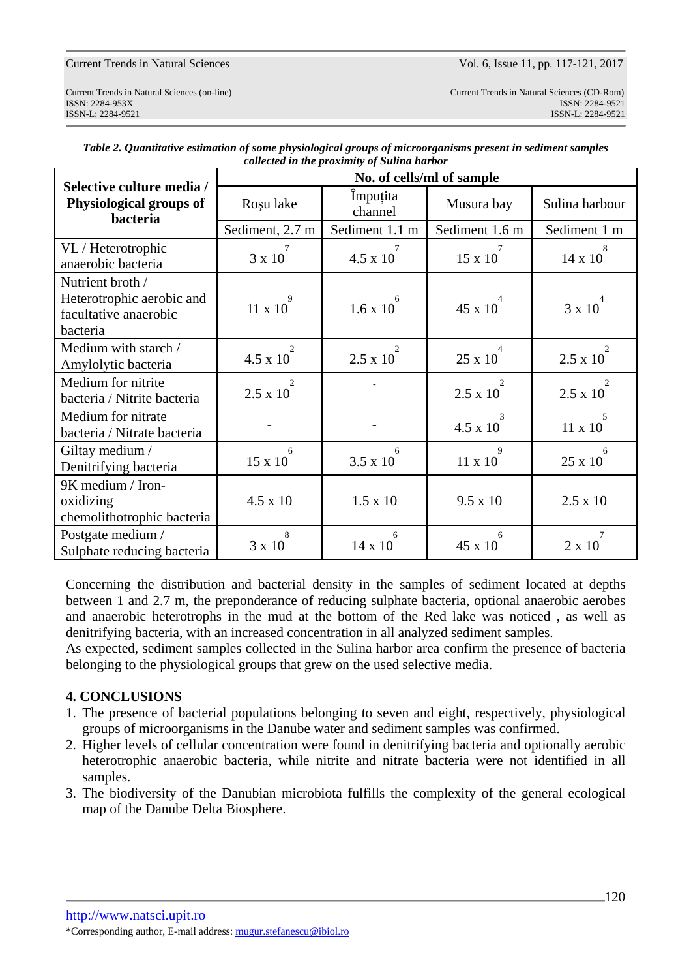| Selective culture media /<br>Physiological groups of<br>bacteria                   | No. of cells/ml of sample         |                                   |                                                |                                  |  |  |
|------------------------------------------------------------------------------------|-----------------------------------|-----------------------------------|------------------------------------------------|----------------------------------|--|--|
|                                                                                    | Roșu lake                         | <i>Impuțita</i><br>channel        | Musura bay                                     | Sulina harbour                   |  |  |
|                                                                                    | Sediment, 2.7 m                   | Sediment 1.1 m                    | Sediment 1.6 m                                 | Sediment 1 m                     |  |  |
| VL / Heterotrophic<br>anaerobic bacteria                                           | 3 x 10                            | 7<br>4.5 x 10                     | 15 x 10                                        | 8<br>14 x 10                     |  |  |
| Nutrient broth /<br>Heterotrophic aerobic and<br>facultative anaerobic<br>bacteria | 9<br>$11 \times 10$               | $1.6 \times 10$                   | 45 x 10                                        | 3 x 10                           |  |  |
| Medium with starch /<br>Amylolytic bacteria                                        | 2<br>$4.5 \times 10^{-7}$         | $\mathfrak{D}$<br>$2.5 \times 10$ | $\overline{4}$<br>25 x 10                      | 2<br>$2.5 \times 10^{-7}$        |  |  |
| Medium for nitrite<br>bacteria / Nitrite bacteria                                  | $\overline{2}$<br>$2.5 \times 10$ |                                   | $\mathcal{D}_{\mathcal{L}}$<br>$2.5 \times 10$ | $\mathcal{D}$<br>$2.5 \times 10$ |  |  |
| Medium for nitrate<br>bacteria / Nitrate bacteria                                  |                                   |                                   | 3<br>$4.5 \times 10$                           | $\overline{5}$<br>$11 \times 10$ |  |  |
| Giltay medium /<br>Denitrifying bacteria                                           | 6<br>15 x 10                      | 6<br>$3.5 \times 10$              | 9<br>11 x 10                                   | 6<br>25 x 10                     |  |  |
| 9K medium / Iron-<br>oxidizing<br>chemolithotrophic bacteria                       | $4.5 \times 10$                   | $1.5 \times 10$                   | $9.5 \times 10$                                | $2.5 \times 10$                  |  |  |
| Postgate medium /<br>Sulphate reducing bacteria                                    | 8<br>3 x 10                       | 6<br>14 x 10                      | 6<br>45 x 10                                   | 7<br>$2 \times 10$               |  |  |

*Table 2. Quantitative estimation of some physiological groups of microorganisms present in sediment samples collected in the proximity of Sulina harbor* 

Concerning the distribution and bacterial density in the samples of sediment located at depths between 1 and 2.7 m, the preponderance of reducing sulphate bacteria, optional anaerobic aerobes and anaerobic heterotrophs in the mud at the bottom of the Red lake was noticed , as well as denitrifying bacteria, with an increased concentration in all analyzed sediment samples.

As expected, sediment samples collected in the Sulina harbor area confirm the presence of bacteria belonging to the physiological groups that grew on the used selective media.

# **4. CONCLUSIONS**

- 1. The presence of bacterial populations belonging to seven and eight, respectively, physiological groups of microorganisms in the Danube water and sediment samples was confirmed.
- 2. Higher levels of cellular concentration were found in denitrifying bacteria and optionally aerobic heterotrophic anaerobic bacteria, while nitrite and nitrate bacteria were not identified in all samples.
- 3. The biodiversity of the Danubian microbiota fulfills the complexity of the general ecological map of the Danube Delta Biosphere.